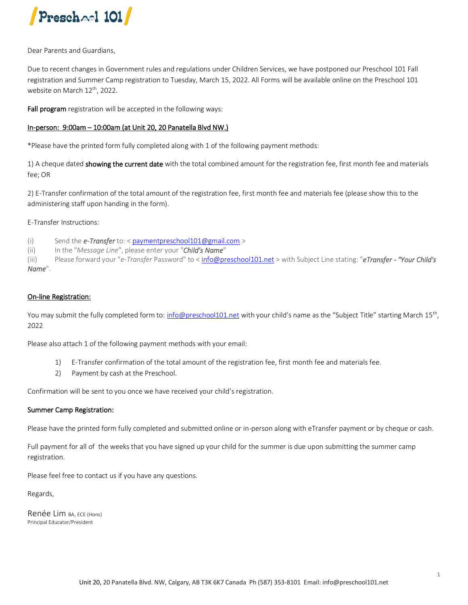

Dear Parents and Guardians,

Due to recent changes in Government rules and regulations under Children Services, we have postponed our Preschool 101 Fall registration and Summer Camp registration to Tuesday, March 15, 2022. All Forms will be available online on the Preschool 101 website on March 12<sup>th</sup>, 2022.

Fall program registration will be accepted in the following ways:

#### In-person: 9:00am – 10:00am (at Unit 20, 20 Panatella Blvd NW.)

\*Please have the printed form fully completed along with 1 of the following payment methods:

1) A cheque dated showing the current date with the total combined amount for the registration fee, first month fee and materials fee; OR

2) E-Transfer confirmation of the total amount of the registration fee, first month fee and materials fee (please show this to the administering staff upon handing in the form).

E-Transfer Instructions:

(i) Send the *e-Transfer* to: [< paymentpreschool101@gmail.com](mailto:paymentpreschool101@gmail.com) >

(ii) In the "*Message Line*", please enter your "*Child's Name*"

(iii) Please forward your "*e-Transfer* Password" to [< info@preschool101.net](mailto:info@preschool101.net) > with Subject Line stating: "*eTransfer - "Your Child's Name*".

#### On-line Registration:

You may submit the fully completed form to: <u>info@preschool101.net</u> with your child's name as the "Subject Title" starting March 15<sup>th</sup>, 2022

Please also attach 1 of the following payment methods with your email:

- 1) E-Transfer confirmation of the total amount of the registration fee, first month fee and materials fee.
- 2) Payment by cash at the Preschool.

Confirmation will be sent to you once we have received your child's registration.

#### Summer Camp Registration:

Please have the printed form fully completed and submitted online or in-person along with eTransfer payment or by cheque or cash.

Full payment for all of the weeks that you have signed up your child for the summer is due upon submitting the summer camp registration.

Please feel free to contact us if you have any questions.

Regards,

Renée Lim BA, ECE (Hons) Principal Educator/President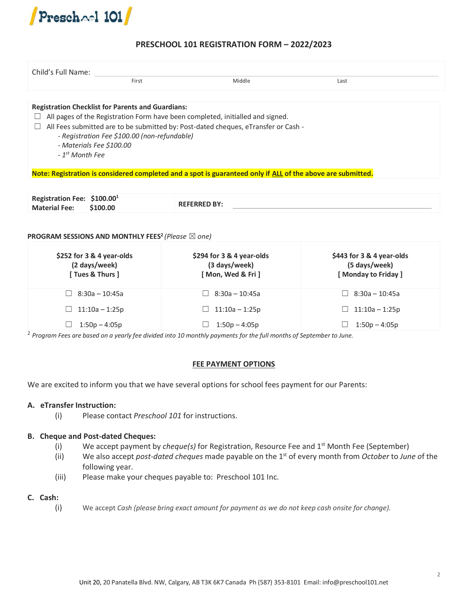

## **PRESCHOOL 101 REGISTRATION FORM – 2022/2023**

| Child's Full Name:                                                                                       | First                                        | Middle                                                                                                                                                               | Last |  |
|----------------------------------------------------------------------------------------------------------|----------------------------------------------|----------------------------------------------------------------------------------------------------------------------------------------------------------------------|------|--|
| <b>Registration Checklist for Parents and Guardians:</b><br>- Materials Fee \$100.00<br>$-1st$ Month Fee | - Registration Fee \$100.00 (non-refundable) | All pages of the Registration Form have been completed, initialled and signed.<br>All Fees submitted are to be submitted by: Post-dated cheques, eTransfer or Cash - |      |  |
|                                                                                                          |                                              | Note: Registration is considered completed and a spot is guaranteed only if ALL of the above are submitted.                                                          |      |  |
|                                                                                                          |                                              |                                                                                                                                                                      |      |  |

| Registration Fee: $$100.001$ |          |                     |  |
|------------------------------|----------|---------------------|--|
| <b>Material Fee:</b>         | \$100.00 | <b>REFERRED BY:</b> |  |
|                              |          |                     |  |

### **PROGRAM SESSIONS AND MONTHLY FEES<sup>2</sup>** *(Please* ☒ *one)*

| \$252 for 3 & 4 year-olds<br>(2 days/week)<br>[ Tues & Thurs ] | \$294 for 3 & 4 year-olds<br>(3 days/week)<br>[ Mon, Wed & Fri ] | \$443 for 3 & 4 year-olds<br>(5 days/week)<br>[Monday to Friday] |
|----------------------------------------------------------------|------------------------------------------------------------------|------------------------------------------------------------------|
| $\Box$ 8:30a – 10:45a                                          | $8:30a - 10:45a$                                                 | 8:30a – 10:45a<br>$\mathsf{L}$                                   |
| 11:10a – 1:25p                                                 | $11:10a - 1:25p$                                                 | $11:10a - 1:25p$                                                 |
| $1:50p - 4:05p$<br>$\sim$                                      | $1:50p - 4:05p$                                                  | $1:50p - 4:05p$                                                  |

2 *Program Fees are based on a yearly fee divided into 10 monthly payments for the full months of September to June.*

#### **FEE PAYMENT OPTIONS**

We are excited to inform you that we have several options for school fees payment for our Parents:

#### **A. eTransfer Instruction:**

(i) Please contact *Preschool 101* for instructions.

#### **B. Cheque and Post-dated Cheques:**

- (i) We accept payment by *cheque(s)* for Registration, Resource Fee and 1st Month Fee (September)
- (ii) We also accept *post-dated cheques* made payable on the 1st of every month from *October* to *June o*f the following year.
- (iii) Please make your cheques payable to: Preschool 101 Inc.

#### **C. Cash:**

(i) We accept *Cash (please bring exact amount for payment as we do not keep cash onsite for change).*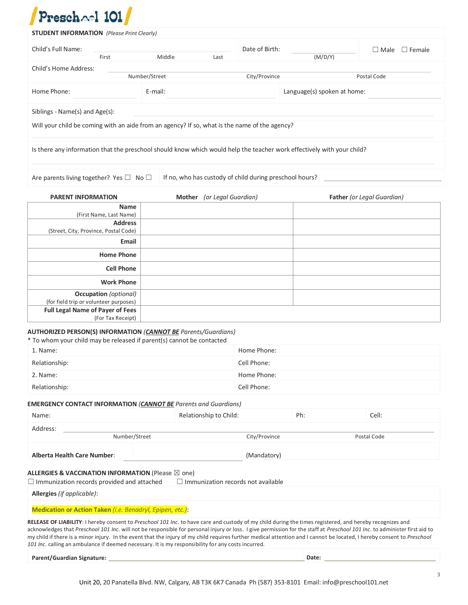# $\n *p*<sub>mech</sub> \n <sup>1</sup> \n *101*\n *l*$

| Child's Full Name:<br>First                                                                                                                                                             | Middle                                                  | Last                | Date of Birth:              | (M/D/Y) | $\Box$ Male $\Box$ Female  |
|-----------------------------------------------------------------------------------------------------------------------------------------------------------------------------------------|---------------------------------------------------------|---------------------|-----------------------------|---------|----------------------------|
| Child's Home Address:                                                                                                                                                                   |                                                         |                     |                             |         |                            |
|                                                                                                                                                                                         | Number/Street                                           |                     | City/Province               |         | Postal Code                |
| Home Phone:                                                                                                                                                                             | E-mail:                                                 |                     | Language(s) spoken at home: |         |                            |
| Siblings - Name(s) and Age(s):                                                                                                                                                          |                                                         |                     |                             |         |                            |
| Will your child be coming with an aide from an agency? If so, what is the name of the agency?                                                                                           |                                                         |                     |                             |         |                            |
| Is there any information that the preschool should know which would help the teacher work effectively with your child?                                                                  |                                                         |                     |                             |         |                            |
|                                                                                                                                                                                         |                                                         |                     |                             |         |                            |
| Are parents living together? Yes $\Box$ No $\Box$                                                                                                                                       | If no, who has custody of child during preschool hours? |                     |                             |         |                            |
|                                                                                                                                                                                         |                                                         |                     |                             |         |                            |
| <b>PARENT INFORMATION</b>                                                                                                                                                               | <b>Mother</b>                                           | (or Legal Guardian) |                             |         | Father (or Legal Guardian) |
| Name                                                                                                                                                                                    |                                                         |                     |                             |         |                            |
| (First Name, Last Name)<br><b>Address</b>                                                                                                                                               |                                                         |                     |                             |         |                            |
|                                                                                                                                                                                         |                                                         |                     |                             |         |                            |
| (Street, City, Province, Postal Code)                                                                                                                                                   |                                                         |                     |                             |         |                            |
| Email                                                                                                                                                                                   |                                                         |                     |                             |         |                            |
| <b>Home Phone</b>                                                                                                                                                                       |                                                         |                     |                             |         |                            |
| <b>Cell Phone</b>                                                                                                                                                                       |                                                         |                     |                             |         |                            |
| <b>Work Phone</b>                                                                                                                                                                       |                                                         |                     |                             |         |                            |
| <b>Occupation</b> (optional)                                                                                                                                                            |                                                         |                     |                             |         |                            |
| (for field trip or volunteer purposes)                                                                                                                                                  |                                                         |                     |                             |         |                            |
| <b>Full Legal Name of Payer of Fees</b><br>(For Tax Receipt)                                                                                                                            |                                                         |                     |                             |         |                            |
|                                                                                                                                                                                         |                                                         |                     |                             |         |                            |
|                                                                                                                                                                                         |                                                         |                     |                             |         |                            |
|                                                                                                                                                                                         |                                                         |                     | Home Phone:                 |         |                            |
|                                                                                                                                                                                         |                                                         |                     | Cell Phone:                 |         |                            |
| <b>AUTHORIZED PERSON(S) INFORMATION (CANNOT BE Parents/Guardians)</b><br>* To whom your child may be released if parent(s) cannot be contacted<br>1. Name:<br>Relationship:<br>2. Name: |                                                         |                     | Home Phone:                 |         |                            |

## **EMERGENCY CONTACT INFORMATION** *(CANNOT BE Parents and Guardians)*

| Name:                                                                                                                                                                                                                                                                                                                                                                                                                                                                                                                                                                                                                   | Relationship to Child:                    | Ph: | Cell:       |  |
|-------------------------------------------------------------------------------------------------------------------------------------------------------------------------------------------------------------------------------------------------------------------------------------------------------------------------------------------------------------------------------------------------------------------------------------------------------------------------------------------------------------------------------------------------------------------------------------------------------------------------|-------------------------------------------|-----|-------------|--|
| Address:                                                                                                                                                                                                                                                                                                                                                                                                                                                                                                                                                                                                                |                                           |     |             |  |
| Number/Street                                                                                                                                                                                                                                                                                                                                                                                                                                                                                                                                                                                                           | City/Province                             |     | Postal Code |  |
| <b>Alberta Health Care Number:</b>                                                                                                                                                                                                                                                                                                                                                                                                                                                                                                                                                                                      | (Mandatory)                               |     |             |  |
| ALLERGIES & VACCINATION INFORMATION (Please $\boxtimes$ one)<br>$\Box$ Immunization records provided and attached                                                                                                                                                                                                                                                                                                                                                                                                                                                                                                       | $\Box$ Immunization records not available |     |             |  |
| Allergies (if applicable):                                                                                                                                                                                                                                                                                                                                                                                                                                                                                                                                                                                              |                                           |     |             |  |
| <b>Medication or Action Taken</b> (i.e. Benadryl, Epipen, etc.):                                                                                                                                                                                                                                                                                                                                                                                                                                                                                                                                                        |                                           |     |             |  |
| RELEASE OF LIABILITY: I hereby consent to Preschool 101 Inc. to have care and custody of my child during the times registered, and hereby recognizes and<br>acknowledges that Preschool 101 Inc. will not be responsible for personal injury or loss. I give permission for the staff at Preschool 101 Inc. to administer first aid to<br>my child if there is a minor injury. In the event that the injury of my child requires further medical attention and I cannot be located, I hereby consent to Preschool<br>101 Inc. calling an ambulance if deemed necessary. It is my responsibility for any costs incurred. |                                           |     |             |  |

**Parent/Guardian Signature: Date:**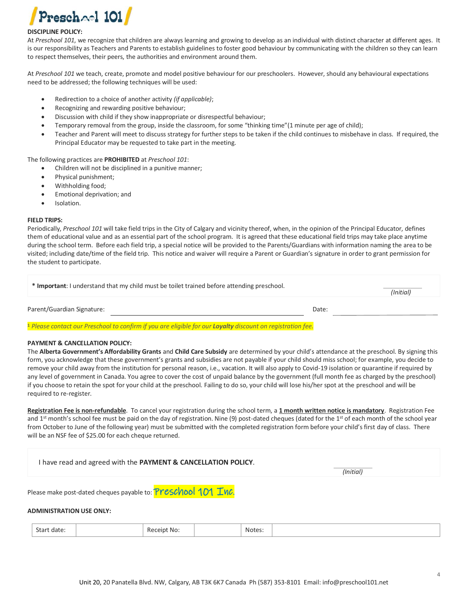

#### **DISCIPLINE POLICY:**

At *Preschool 101*, we recognize that children are always learning and growing to develop as an individual with distinct character at different ages. It is our responsibility as Teachers and Parents to establish guidelines to foster good behaviour by communicating with the children so they can learn to respect themselves, their peers, the authorities and environment around them.

At *Preschool 101* we teach, create, promote and model positive behaviour for our preschoolers. However, should any behavioural expectations need to be addressed; the following techniques will be used:

- Redirection to a choice of another activity *(if applicable)*;
- Recognizing and rewarding positive behaviour;
- Discussion with child if they show inappropriate or disrespectful behaviour;
- Temporary removal from the group, inside the classroom, for some "thinking time"(1 minute per age of child);
- Teacher and Parent will meet to discuss strategy for further steps to be taken if the child continues to misbehave in class. If required, the Principal Educator may be requested to take part in the meeting.

The following practices are **PROHIBITED** at *Preschool 101*:

- Children will not be disciplined in a punitive manner;
- Physical punishment;
- Withholding food;
- Emotional deprivation; and
- Isolation.

#### **FIELD TRIPS:**

Periodically, *Preschool 101* will take field trips in the City of Calgary and vicinity thereof, when, in the opinion of the Principal Educator, defines them of educational value and as an essential part of the school program. It is agreed that these educational field trips may take place anytime during the school term. Before each field trip, a special notice will be provided to the Parents/Guardians with information naming the area to be visited; including date/time of the field trip. This notice and waiver will require a Parent or Guardian's signature in order to grant permission for the student to participate.

| * Important: I understand that my child must be toilet trained before attending preschool.                                                                                                                                    | (Initial) |  |
|-------------------------------------------------------------------------------------------------------------------------------------------------------------------------------------------------------------------------------|-----------|--|
| Parent/Guardian Signature:                                                                                                                                                                                                    | Date:     |  |
| . The contract of the contract of the contract of the contract of the contract of the contract of the contract of the contract of the contract of the contract of the contract of the contract of the contract of the contrac |           |  |

**<sup>1</sup>** *Please contact our Preschool to confirm if you are eligible for our Loyalty discount on registration fee.*

#### **PAYMENT & CANCELLATION POLICY:**

The **Alberta Government's Affordability Grants** and **Child Care Subsidy** are determined by your child's attendance at the preschool. By signing this form, you acknowledge that these government's grants and subsidies are not payable if your child should miss school; for example, you decide to remove your child away from the institution for personal reason, i.e., vacation. It will also apply to Covid-19 isolation or quarantine if required by any level of government in Canada. You agree to cover the cost of unpaid balance by the government (full month fee as charged by the preschool) if you choose to retain the spot for your child at the preschool. Failing to do so, your child will lose his/her spot at the preschool and will be required to re-register.

**Registration Fee is non-refundable**. To cancel your registration during the school term, a **1 month written notice is mandatory**. Registration Fee and 1<sup>st</sup> month's school fee must be paid on the day of registration. Nine (9) post-dated cheques (dated for the 1<sup>st</sup> of each month of the school year from October to June of the following year) must be submitted with the completed registration form before your child's first day of class. There will be an NSF fee of \$25.00 for each cheque returned.

I have read and agreed with the **PAYMENT & CANCELLATION POLICY**.

 *(Initial)*

Please make post-dated cheques payable to: **Preschool 101 Inc.** 

**ADMINISTRATION USE ONLY:**

| $\sim$<br>Start date: |  | Receipt No: |  | Notes:<br>. |  |
|-----------------------|--|-------------|--|-------------|--|
|-----------------------|--|-------------|--|-------------|--|